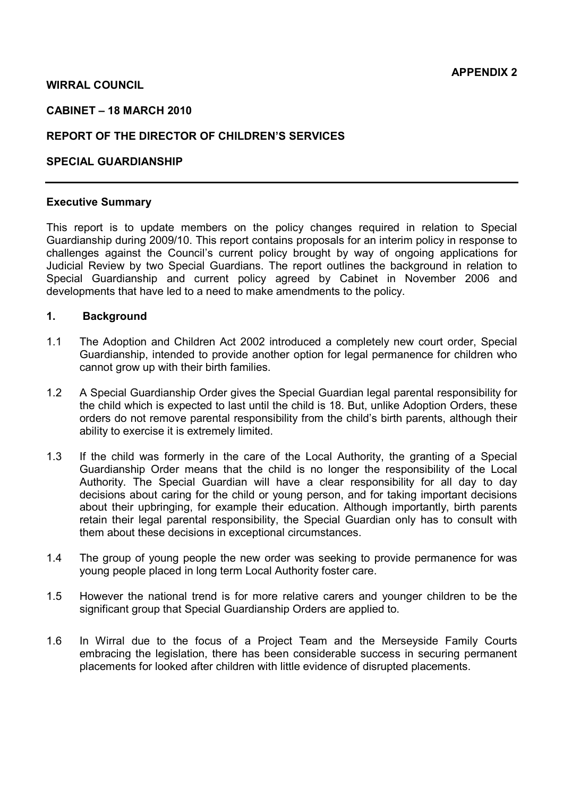## **WIRRAL COUNCIL**

#### **CABINET – 18 MARCH 2010**

## **REPORT OF THE DIRECTOR OF CHILDREN'S SERVICES**

#### **SPECIAL GUARDIANSHIP**

#### **Executive Summary**

This report is to update members on the policy changes required in relation to Special Guardianship during 2009/10. This report contains proposals for an interim policy in response to challenges against the Council's current policy brought by way of ongoing applications for Judicial Review by two Special Guardians. The report outlines the background in relation to Special Guardianship and current policy agreed by Cabinet in November 2006 and developments that have led to a need to make amendments to the policy.

## **1. Background**

- 1.1 The Adoption and Children Act 2002 introduced a completely new court order, Special Guardianship, intended to provide another option for legal permanence for children who cannot grow up with their birth families.
- 1.2 A Special Guardianship Order gives the Special Guardian legal parental responsibility for the child which is expected to last until the child is 18. But, unlike Adoption Orders, these orders do not remove parental responsibility from the child's birth parents, although their ability to exercise it is extremely limited.
- 1.3 If the child was formerly in the care of the Local Authority, the granting of a Special Guardianship Order means that the child is no longer the responsibility of the Local Authority. The Special Guardian will have a clear responsibility for all day to day decisions about caring for the child or young person, and for taking important decisions about their upbringing, for example their education. Although importantly, birth parents retain their legal parental responsibility, the Special Guardian only has to consult with them about these decisions in exceptional circumstances.
- 1.4 The group of young people the new order was seeking to provide permanence for was young people placed in long term Local Authority foster care.
- 1.5 However the national trend is for more relative carers and younger children to be the significant group that Special Guardianship Orders are applied to.
- 1.6 In Wirral due to the focus of a Project Team and the Merseyside Family Courts embracing the legislation, there has been considerable success in securing permanent placements for looked after children with little evidence of disrupted placements.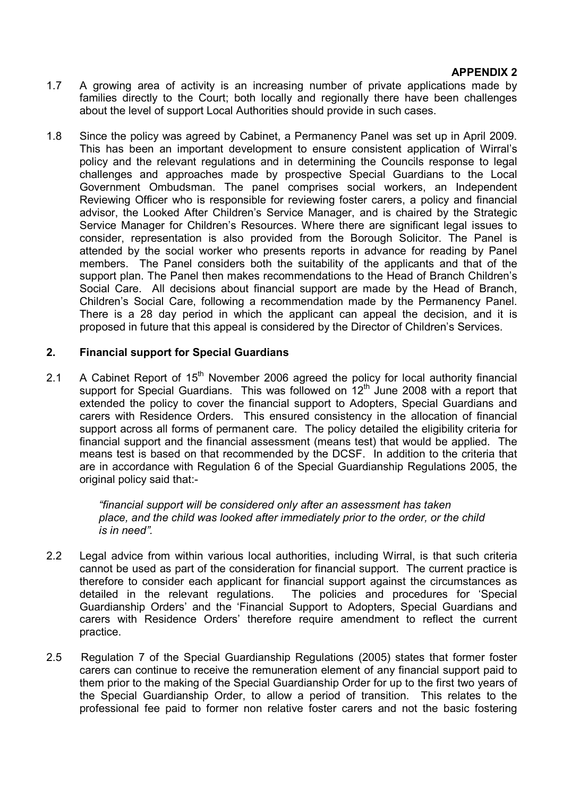## **APPENDIX 2**

- 1.7 A growing area of activity is an increasing number of private applications made by families directly to the Court; both locally and regionally there have been challenges about the level of support Local Authorities should provide in such cases.
- 1.8 Since the policy was agreed by Cabinet, a Permanency Panel was set up in April 2009. This has been an important development to ensure consistent application of Wirral's policy and the relevant regulations and in determining the Councils response to legal challenges and approaches made by prospective Special Guardians to the Local Government Ombudsman. The panel comprises social workers, an Independent Reviewing Officer who is responsible for reviewing foster carers, a policy and financial advisor, the Looked After Children's Service Manager, and is chaired by the Strategic Service Manager for Children's Resources. Where there are significant legal issues to consider, representation is also provided from the Borough Solicitor. The Panel is attended by the social worker who presents reports in advance for reading by Panel members. The Panel considers both the suitability of the applicants and that of the support plan. The Panel then makes recommendations to the Head of Branch Children's Social Care. All decisions about financial support are made by the Head of Branch, Children's Social Care, following a recommendation made by the Permanency Panel. There is a 28 day period in which the applicant can appeal the decision, and it is proposed in future that this appeal is considered by the Director of Children's Services.

## **2. Financial support for Special Guardians**

2.1 A Cabinet Report of  $15<sup>th</sup>$  November 2006 agreed the policy for local authority financial support for Special Guardians. This was followed on 12<sup>th</sup> June 2008 with a report that extended the policy to cover the financial support to Adopters, Special Guardians and carers with Residence Orders. This ensured consistency in the allocation of financial support across all forms of permanent care. The policy detailed the eligibility criteria for financial support and the financial assessment (means test) that would be applied. The means test is based on that recommended by the DCSF. In addition to the criteria that are in accordance with Regulation 6 of the Special Guardianship Regulations 2005, the original policy said that:-

> *"financial support will be considered only after an assessment has taken place, and the child was looked after immediately prior to the order, or the child is in need".*

- 2.2 Legal advice from within various local authorities, including Wirral, is that such criteria cannot be used as part of the consideration for financial support. The current practice is therefore to consider each applicant for financial support against the circumstances as detailed in the relevant regulations. The policies and procedures for 'Special Guardianship Orders' and the 'Financial Support to Adopters, Special Guardians and carers with Residence Orders' therefore require amendment to reflect the current practice.
- 2.5 Regulation 7 of the Special Guardianship Regulations (2005) states that former foster carers can continue to receive the remuneration element of any financial support paid to them prior to the making of the Special Guardianship Order for up to the first two years of the Special Guardianship Order, to allow a period of transition. This relates to the professional fee paid to former non relative foster carers and not the basic fostering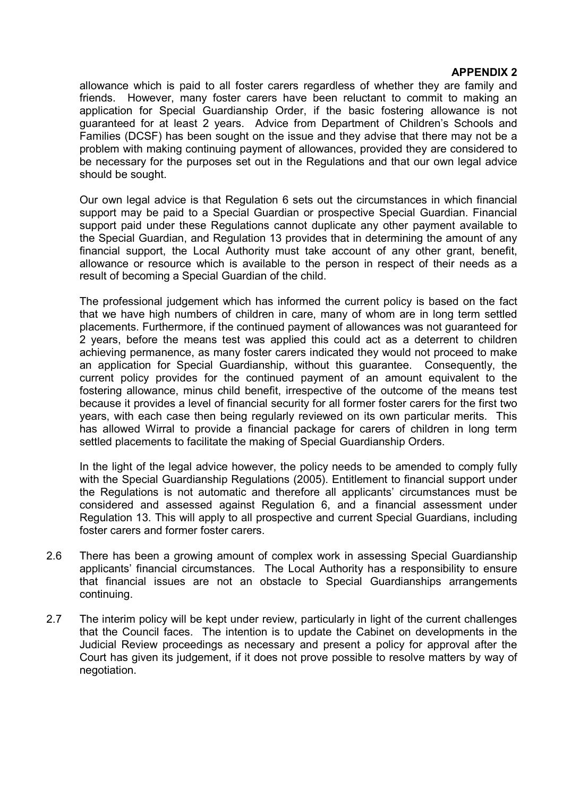## **APPENDIX 2**

allowance which is paid to all foster carers regardless of whether they are family and friends. However, many foster carers have been reluctant to commit to making an application for Special Guardianship Order, if the basic fostering allowance is not guaranteed for at least 2 years. Advice from Department of Children's Schools and Families (DCSF) has been sought on the issue and they advise that there may not be a problem with making continuing payment of allowances, provided they are considered to be necessary for the purposes set out in the Regulations and that our own legal advice should be sought.

Our own legal advice is that Regulation 6 sets out the circumstances in which financial support may be paid to a Special Guardian or prospective Special Guardian. Financial support paid under these Regulations cannot duplicate any other payment available to the Special Guardian, and Regulation 13 provides that in determining the amount of any financial support, the Local Authority must take account of any other grant, benefit, allowance or resource which is available to the person in respect of their needs as a result of becoming a Special Guardian of the child.

The professional judgement which has informed the current policy is based on the fact that we have high numbers of children in care, many of whom are in long term settled placements. Furthermore, if the continued payment of allowances was not guaranteed for 2 years, before the means test was applied this could act as a deterrent to children achieving permanence, as many foster carers indicated they would not proceed to make an application for Special Guardianship, without this guarantee. Consequently, the current policy provides for the continued payment of an amount equivalent to the fostering allowance, minus child benefit, irrespective of the outcome of the means test because it provides a level of financial security for all former foster carers for the first two years, with each case then being regularly reviewed on its own particular merits. This has allowed Wirral to provide a financial package for carers of children in long term settled placements to facilitate the making of Special Guardianship Orders.

In the light of the legal advice however, the policy needs to be amended to comply fully with the Special Guardianship Regulations (2005). Entitlement to financial support under the Regulations is not automatic and therefore all applicants' circumstances must be considered and assessed against Regulation 6, and a financial assessment under Regulation 13. This will apply to all prospective and current Special Guardians, including foster carers and former foster carers.

- 2.6 There has been a growing amount of complex work in assessing Special Guardianship applicants' financial circumstances. The Local Authority has a responsibility to ensure that financial issues are not an obstacle to Special Guardianships arrangements continuing.
- 2.7 The interim policy will be kept under review, particularly in light of the current challenges that the Council faces. The intention is to update the Cabinet on developments in the Judicial Review proceedings as necessary and present a policy for approval after the Court has given its judgement, if it does not prove possible to resolve matters by way of negotiation.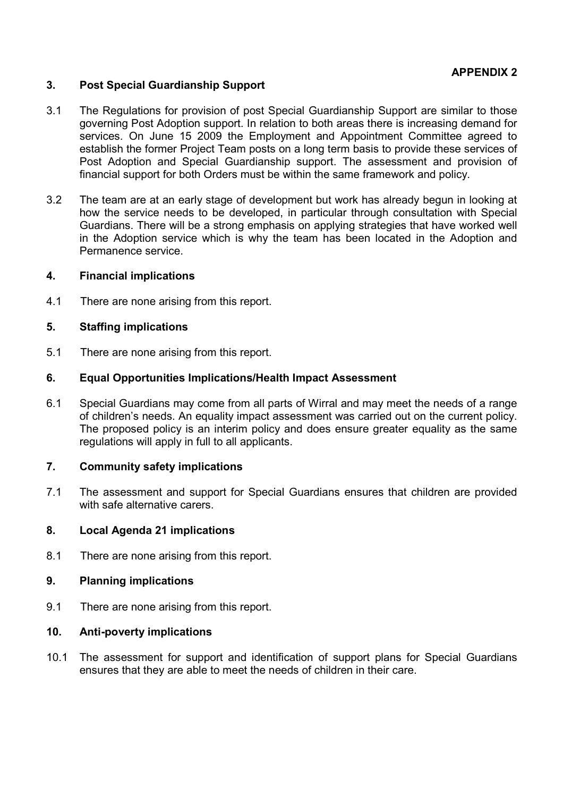## **APPENDIX 2**

## **3. Post Special Guardianship Support**

- 3.1 The Regulations for provision of post Special Guardianship Support are similar to those governing Post Adoption support. In relation to both areas there is increasing demand for services. On June 15 2009 the Employment and Appointment Committee agreed to establish the former Project Team posts on a long term basis to provide these services of Post Adoption and Special Guardianship support. The assessment and provision of financial support for both Orders must be within the same framework and policy.
- 3.2 The team are at an early stage of development but work has already begun in looking at how the service needs to be developed, in particular through consultation with Special Guardians. There will be a strong emphasis on applying strategies that have worked well in the Adoption service which is why the team has been located in the Adoption and Permanence service.

#### **4. Financial implications**

4.1 There are none arising from this report.

## **5. Staffing implications**

5.1 There are none arising from this report.

## **6. Equal Opportunities Implications/Health Impact Assessment**

6.1 Special Guardians may come from all parts of Wirral and may meet the needs of a range of children's needs. An equality impact assessment was carried out on the current policy. The proposed policy is an interim policy and does ensure greater equality as the same regulations will apply in full to all applicants.

#### **7. Community safety implications**

7.1 The assessment and support for Special Guardians ensures that children are provided with safe alternative carers.

#### **8. Local Agenda 21 implications**

8.1 There are none arising from this report.

#### **9. Planning implications**

9.1 There are none arising from this report.

## **10. Anti-poverty implications**

10.1 The assessment for support and identification of support plans for Special Guardians ensures that they are able to meet the needs of children in their care.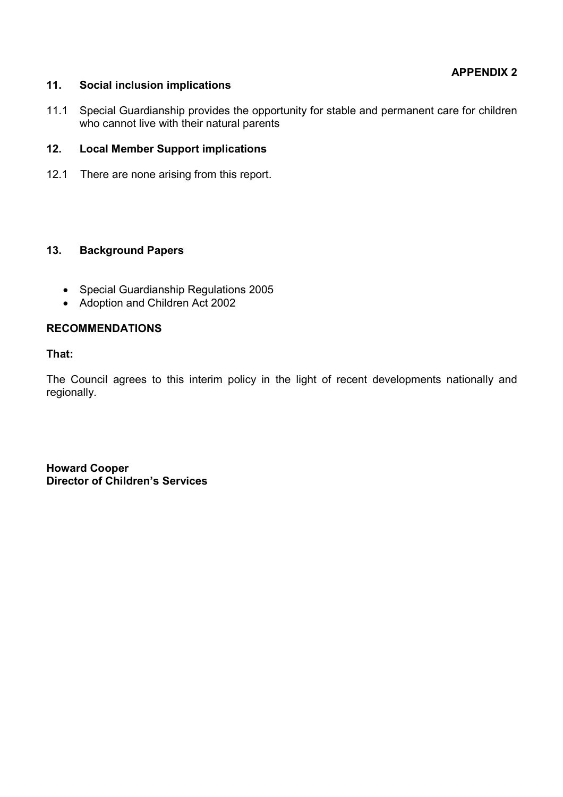## **11. Social inclusion implications**

11.1 Special Guardianship provides the opportunity for stable and permanent care for children who cannot live with their natural parents

## **12. Local Member Support implications**

12.1 There are none arising from this report.

## **13. Background Papers**

- Special Guardianship Regulations 2005
- Adoption and Children Act 2002

## **RECOMMENDATIONS**

#### **That:**

The Council agrees to this interim policy in the light of recent developments nationally and regionally.

**Howard Cooper Director of Children's Services**